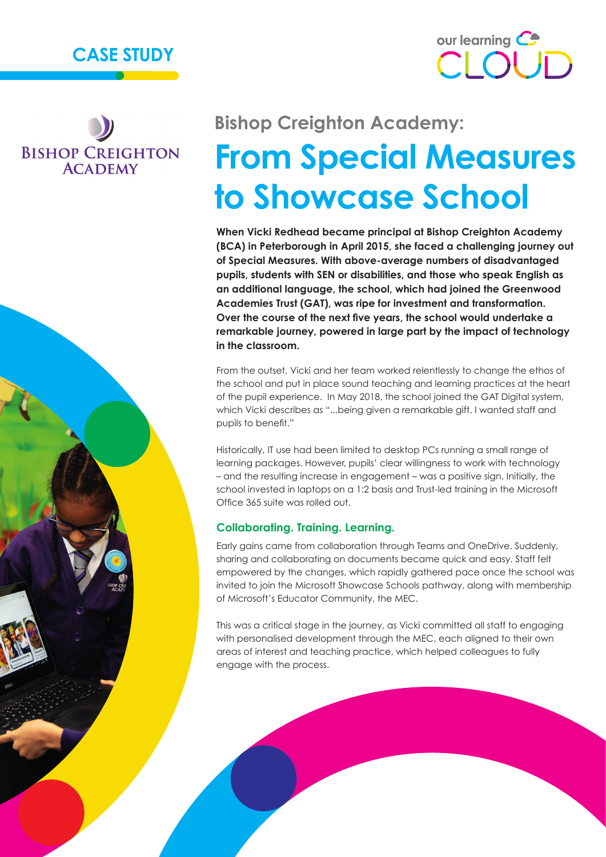



## **BISHOP CREIGHTON ACADEMY**

# **Bishop Creighton Academy: From Special Measures to Showcase School**

**When Vicki Redhead became principal at Bishop Creighton Academy (BCA) in Peterborough in April 2015, she faced a challenging journey out of Special Measures. With above-average numbers of disadvantaged pupils, students with SEN or disabilities, and those who speak English as an additional language, the school, which had joined the Greenwood Academies Trust (GAT), was ripe for investment and transformation. Over the course of the next five years, the school would undertake a remarkable journey, powered in large part by the impact of technology in the classroom.**

From the outset, Vicki and her team worked relentlessly to change the ethos of the school and put in place sound teaching and learning practices at the heart of the pupil experience. In May 2018, the school joined the GAT Digital system, which Vicki describes as "...being given a remarkable gift. I wanted staff and pupils to benefit."

Historically, IT use had been limited to desktop PCs running a small range of learning packages. However, pupils' clear willingness to work with technology – and the resulting increase in engagement – was a positive sign. Initially, the school invested in laptops on a 1:2 basis and Trust-led training in the Microsoft Office 365 suite was rolled out.

#### **Collaborating. Training. Learning.**

Early gains came from collaboration through Teams and OneDrive. Suddenly, sharing and collaborating on documents became quick and easy. Staff felt empowered by the changes, which rapidly gathered pace once the school was invited to join the Microsoft Showcase Schools pathway, along with membership of Microsoft's Educator Community, the MEC.

This was a critical stage in the journey, as Vicki committed all staff to engaging with personalised development through the MEC, each aligned to their own areas of interest and teaching practice, which helped colleagues to fully engage with the process.